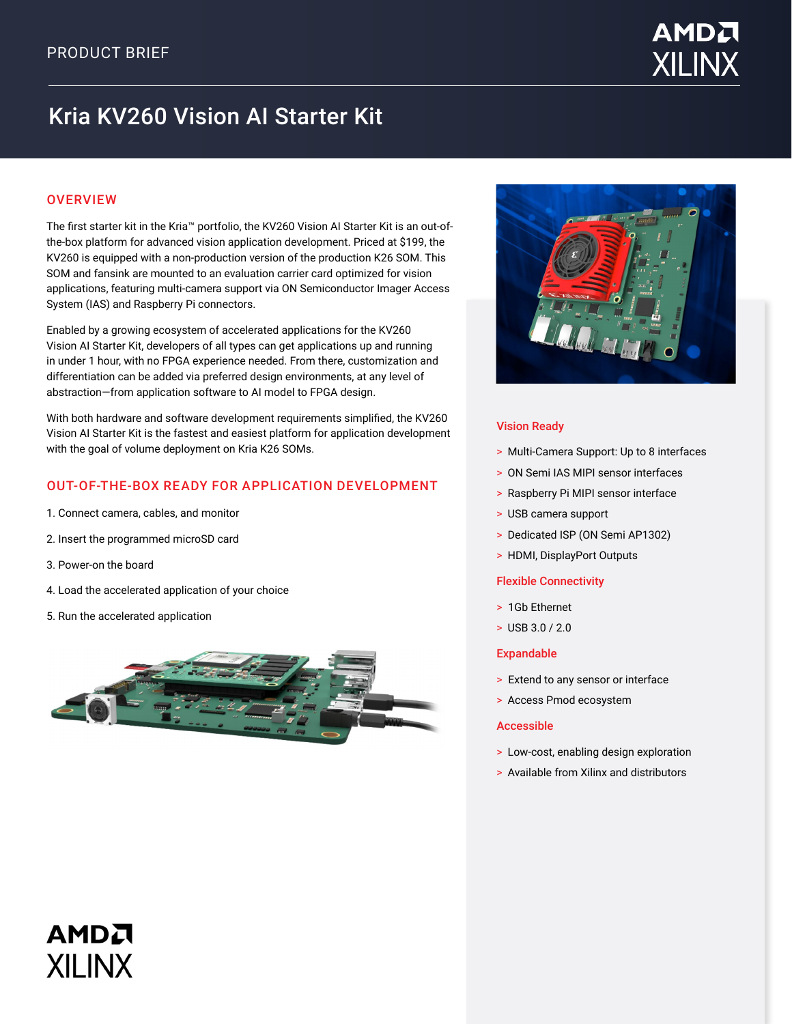

# Kria KV260 Vision AI Starter Kit

# **OVERVIEW**

The first starter kit in the Kria™ portfolio, the KV260 Vision AI Starter Kit is an out-ofthe-box platform for advanced vision application development. Priced at \$199, the KV260 is equipped with a non-production version of the production K26 SOM. This SOM and fansink are mounted to an evaluation carrier card optimized for vision applications, featuring multi-camera support via ON Semiconductor Imager Access System (IAS) and Raspberry Pi connectors.

Enabled by a growing ecosystem of accelerated applications for the KV260 Vision AI Starter Kit, developers of all types can get applications up and running in under 1 hour, with no FPGA experience needed. From there, customization and differentiation can be added via preferred design environments, at any level of abstraction—from application software to AI model to FPGA design.

With both hardware and software development requirements simplified, the KV260 Vision AI Starter Kit is the fastest and easiest platform for application development with the goal of volume deployment on Kria K26 SOMs.

## OUT-OF-THE-BOX READY FOR APPLICATION DEVELOPMENT

- 1. Connect camera, cables, and monitor
- 2. Insert the programmed microSD card
- 3. Power-on the board

AMDA

**XII INX** 

- 4. Load the accelerated application of your choice
- 5. Run the accelerated application





#### Vision Ready

- > Multi-Camera Support: Up to 8 interfaces
- > ON Semi IAS MIPI sensor interfaces
- > Raspberry Pi MIPI sensor interface
- > USB camera support
- > Dedicated ISP (ON Semi AP1302)
- > HDMI, DisplayPort Outputs

#### Flexible Connectivity

- > 1Gb Ethernet
- > USB 3.0 / 2.0

#### Expandable

- > Extend to any sensor or interface
- > Access Pmod ecosystem

#### Accessible

- > Low-cost, enabling design exploration
- > Available from Xilinx and distributors